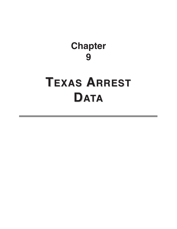# **Chapter 9 TEXAS ARREST DATA**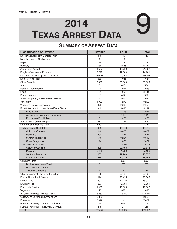## **2014 TEXAS ARREST DATA**

#### **SUMMARY OF ARREST DATA**

| <b>Classification of Offense</b>             | <b>Juvenile</b> | <b>Adult</b> | <b>Total</b> |
|----------------------------------------------|-----------------|--------------|--------------|
| Murder/Nonnegligent Manslaughter             | 30              | 717          | 747          |
| Manslaughter by Negligence                   | $\overline{4}$  | 114          | 118          |
| Rape                                         | n/a             | n/a          | n/a          |
| Robbery                                      | 759             | 5,583        | 6,342        |
| <b>Aggravated Assault</b>                    | 1,567           | 19,760       | 21,327       |
| <b>Burglary-Breaking or Entering</b>         | 2,297           | 12,604       | 14,901       |
| Larceny-Theft (Except Motor Vehicle)         | 10,807          | 97,968       | 108,775      |
| Motor Vehicle Theft                          | 639             | 4,045        | 4,684        |
| <b>Other Assaults</b>                        | 9,020           | 86,809       | 95,829       |
| Arson                                        | 151             | 413          | 564          |
| Forgery/Counterfeiting                       | 37              | 4,951        | 4,988        |
| Fraud                                        | 151             | 7,990        | 8,141        |
| Embezzlement                                 | 12              | 497          | 509          |
| Stolen Property (Buy, Receive, Possess)      | 133             | 963          | 1,096        |
| Vandalism                                    | 1,982           | 7,276        | 9,258        |
| Weapons (Carry/Possess,etc)                  | 429             | 9,230        | 9,659        |
| Prostitution and Commercialized Vice (Total) | 42              | 5,085        | 5,127        |
| Prostitution                                 | 31              | 3,896        | 3,927        |
| Assisting or Promoting Prostitution          | 8               | 123          | 131          |
| <b>Purchasing Prostitution</b>               | 3               | 1,066        | 1,069        |
| Sex Offenses (Except Rape)                   | 433             | 3,221        | 3,654        |
| Drug Abuse Violations (Total)                | 7,200           | 132,271      | 139,471      |
| <b>Manufacture Subtotal</b>                  | 436             | 16,379       | 16,815       |
| Opium or Cocaine                             | 33              | 3,826        | 3,859        |
| Marijuana                                    | 200             | 1,441        | 1,641        |
| <b>Synthetic Narcotics</b>                   | 79              | 9,234        | 9,313        |
| <b>Other Dangerous</b>                       | 124             | 1,878        | 2,002        |
| <b>Possession Subtotal</b>                   | 6,764           | 115,892      | 122,656      |
| Opium or Cocaine                             | 325             | 23,493       | 23,818       |
| Marijuana                                    | 5,466           | 61,730       | 67,196       |
| <b>Synthetic Narcotics</b>                   | 337             | 12,740       | 13,077       |
| <b>Other Dangerous</b>                       | 636             | 17,929       | 18,565       |
| Gambling (Total)                             | $\overline{7}$  | 590          | 597          |
| Bookmaking-Horse/Sports                      | $\mathbf 0$     | 37           | 37           |
| Numbers and Lottery                          | $\mathbf 0$     | 116          | 116          |
| All Other Gambling                           | $\overline{7}$  | 437          | 444          |
| Offenses Against Family and Children         | 73              | 5,125        | 5,198        |
| Driving Under the Influence                  | 114             | 70,455       | 70,569       |
| Liquor Laws                                  | 891             | 12,119       | 13,010       |
| Drunkenness                                  | 297             | 75,734       | 76,031       |
| <b>Disorderly Conduct</b>                    | 1,480           | 10,828       | 12,308       |
| Vagrancy                                     | 127             | 953          | 1,080        |
| All Other Offenses (Except Traffic)          | 8,369           | 243,143      | 251,512      |
| Curfew and Loitering Law Violations          | 2,866           |              | 2,866        |
| Runaway                                      | 7,472           |              | 7,472        |
| Human Trafficking / Commercial Sex Acts      | 30              | 676          | 706          |
| Human Trafficking / Involuntary Servitude    | 28              | 34           | 62           |
| <b>TOTAL</b>                                 | 57,447          | 819,154      | 876,601      |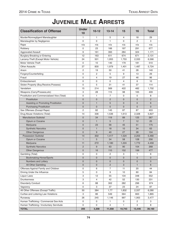#### **JUVENILE MALE ARRESTS**

| <b>Classification of Offense</b>             | <b>Under</b><br>10 | $10-12$             | $13 - 14$      | 15                        | 16             | Total          |
|----------------------------------------------|--------------------|---------------------|----------------|---------------------------|----------------|----------------|
| Murder/Nonnegligent Manslaughter             | 1                  | 1                   | 5              | 4                         | 18             | 29             |
| Manslaughter by Negligence                   | 0                  | 0                   | 1              | 0                         | 2              | 3              |
| Rape                                         | n/a                | n/a                 | n/a            | n/a                       | n/a            | n/a            |
| Robbery                                      | $\mathbf 0$        | 23                  | 166            | 197                       | 291            | 677            |
| <b>Aggravated Assault</b>                    | 9                  | 161                 | 393            | 284                       | 324            | 1,171          |
| <b>Burglary-Breaking or Entering</b>         | 12                 | 163                 | 611            | 674                       | 671            | 2,131          |
| Larceny-Theft (Except Motor Vehicle)         | 24                 | 501                 | 1,955          | 1,753                     | 2,333          | 6,566          |
| Motor Vehicle Theft                          | $\mathbf 0$        | 10                  | 140            | 179                       | 181            | 510            |
| <b>Other Assaults</b>                        | 27                 | 830                 | 1,979          | 1,401                     | 1.487          | 5,724          |
| Arson                                        | $\overline{c}$     | 19                  | 50             | 41                        | 28             | 140            |
| Forgery/Counterfeiting                       | 0                  | 2                   | 5              | 9                         | 13             | 29             |
| Fraud                                        | 0                  | 4                   | 19             | 27                        | 46             | 96             |
| Embezzlement                                 | 0                  | 0                   | 0              | $\overline{4}$            | 6              | 10             |
| Stolen Property (Buy, Receive, Possess)      | 0                  | 5                   | 31             | 41                        | 37             | 114            |
| Vandalism                                    | 15                 | 214                 | 569            | 422                       | 482            | 1,702          |
| Weapons (Carry/Possess, etc)                 | 3                  | 28                  | 115            | 98                        | 165            | 409            |
| Prostitution and Commercialized Vice (Total) | 0                  | 1                   | $\overline{7}$ | 0                         | 0              | 8              |
| Prostitution                                 | $\overline{0}$     | $\overline{0}$      | $\overline{2}$ | $\overline{0}$            | $\Omega$       | $\overline{2}$ |
| Assisting or Promoting Prostitution          | $\overline{0}$     | $\mathbf{1}$        | 5              | $\overline{0}$            | $\mathbf{0}$   | 6              |
| <b>Purchasing Prostitution</b>               | $\overline{0}$     | $\mathbf{0}$        | $\overline{0}$ | $\overline{0}$            | $\Omega$       | $\overline{0}$ |
| Sex Offenses (Except Rape)                   | 2                  | 82                  | 145            | 87                        | 87             | 403            |
| Drug Abuse Violations (Total)                | 14                 | 336                 | 1,536          | 1,613                     | 2,328          | 5,827          |
| <b>Manufacture Subtotal</b>                  | $\mathbf 0$        | 34                  | 119            | 89                        | 125            | 367            |
| Opium or Cocaine                             | $\mathbf 0$        | $\mathbf{1}$        | 5              | $\overline{7}$            | 12             | 25             |
| Marijuana                                    | 0                  | 23                  | 56             | 45                        | 51             | 175            |
| <b>Synthetic Narcotics</b>                   | $\mathbf 0$        | $\mathbf{1}$        | 18             | 10                        | 34             | 63             |
| <b>Other Dangerous</b>                       | $\mathbf{0}$       | 9                   | 40             | 27                        | 28             | 104            |
| <b>Possession Subtotal</b>                   | 14                 | 302                 | 1,417          | 1,524                     | 2,203          | 5,460          |
| Opium or Cocaine                             | $\mathbf{1}$       | 5                   | 34             | 58                        | 128            | 256            |
| Marijuana                                    | 11                 | 272                 | 1,180          | 1,224                     | 1,772          | 4,459          |
| <b>Synthetic Narcotics</b>                   | $\overline{2}$     | 9                   | 63             | 90                        | 104            | 268            |
| <b>Other Dangerous</b>                       | 0                  | 16                  | 110            | 152                       | 199            | 477            |
| Gambling (Total)                             | 0                  | 0                   | 2              | 3                         | 1              | 6              |
| Bookmaking-Horse/Sports                      | 0                  | 0                   | 0              | $\mathbf 0$               | $\mathbf 0$    | 0              |
| Numbers and Lottery                          | $\overline{0}$     | $\mathbf{0}$        | $\mathbf 0$    | $\mathbf{0}$              | $\mathbf{0}$   | $\overline{0}$ |
| All Other Gambling                           | $\mathbf 0$        | $\mathsf{O}\xspace$ | $\overline{c}$ | $\ensuremath{\mathsf{3}}$ | $\mathbf{1}$   | 6              |
| Offenses Against Family and Children         | 0                  | 6                   | $\overline{7}$ | 11                        | 20             | 44             |
| Driving Under the Influence                  | 5                  | 0                   | 9              | 10                        | 60             | 84             |
| Liquor Laws                                  | 3                  | 12                  | 55             | 134                       | 348            | 552            |
| Drunkenness                                  | 3                  | 4                   | 42             | 52                        | 130            | 231            |
| <b>Disorderly Conduct</b>                    | 6                  | 88                  | 302            | 282                       | 296            | 974            |
| Vagrancy                                     | 0                  | 3                   | 37             | 23                        | 24             | 87             |
| All Other Offenses (Except Traffic)          | 50                 | 384                 | 1,77           | 1,832                     | 2,337          | 6,280          |
| Curfew and Loitering Law Violations          | 3                  | 86                  | 549            | 564                       | 663            | 1,865          |
| Runaway                                      | 26                 | 245                 | 1,146          | 997                       | 1,063          | 3,477          |
| Human Trafficking / Commercial Sex Acts      | 0                  | 0                   | $\mathbf{1}$   | 0                         | $\overline{2}$ | 3              |
| Human Trafficking / Involuntary Servitude    | 0                  | 0                   | $\overline{4}$ | 1                         | 3              | 8              |
| <b>TOTAL</b>                                 | 205                | 3,208               | 11,558         | 10,743                    | 13,446         | 39,160         |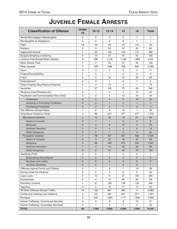#### **JUVENILE FEMALE ARRESTS**

| <b>Classification of Offense</b>             | <b>Under</b><br>10  | $10 - 12$      | $13 - 14$      | 15             | 16             | <b>Total</b>   |
|----------------------------------------------|---------------------|----------------|----------------|----------------|----------------|----------------|
| Murder/Nonnegligent Manslaughter             | 0                   | 0              | 0              | 0              | 1              | 1              |
| Manslaughter by Negligence                   | 0                   | $\Omega$       | $\Omega$       | 0              | 1              | 1              |
| Rape                                         | n/a                 | n/a            | n/a            | n/a            | n/a            | n/a            |
| Robbery                                      | 0                   | 3              | 25             | 24             | 30             | 82             |
| <b>Aggravated Assault</b>                    | $\overline{c}$      | 52             | 130            | 100            | 112            | 396            |
| <b>Burglary-Breaking or Entering</b>         | 0                   | 16             | 51             | 45             | 54             | 166            |
| Larceny-Theft (Except Motor Vehicle)         | 9                   | 286            | 1,132          | 1,126          | 1,688          | 4,241          |
| Motor Vehicle Theft                          | 1                   | 2              | 55             | 37             | 34             | 129            |
| <b>Other Assaults</b>                        | 7                   | 378            | 1289           | 798            | 824            | 3,296          |
| Arson                                        | $\mathbf 0$         | 3              | 5              | 0              | 3              | 11             |
| Forgery/Counterfeiting                       | 0                   | $\mathbf 0$    | $\mathbf{1}$   | $\overline{2}$ | 5              | 8              |
| Fraud                                        | 0                   | 4              | 16             | 12             | 23             | 55             |
| Embezzlement                                 | 0                   | 0              | 1              | 0              | 1              | 2              |
| Stolen Property (Buy, Receive, Possess)      | 0                   | 2              | 12             | 4              | 1              | 19             |
| Vandalism                                    | 1                   | 37             | 106            | 70             | 66             | 280            |
| Weapons (Carry/Possess,etc)                  | 0                   | $\mathbf{1}$   | 5              | 4              | 10             | 20             |
| Prostitution and Commercialized Vice (Total) | 0                   | $\mathbf 0$    | 5              | 10             | 19             | 34             |
| Prostitution                                 | $\overline{0}$      | $\overline{0}$ | $\overline{4}$ | 9              | 16             | 29             |
| Assisting or Promoting Prostitution          | $\mathbf 0$         | $\overline{0}$ | $\mathbf{1}$   | $\mathbf{0}$   | $\mathbf{1}$   | 2              |
| <b>Purchasing Prostitution</b>               | $\overline{0}$      | $\overline{0}$ | $\overline{0}$ | $\mathbf{1}$   | $\overline{2}$ | 3              |
| Sex Offenses (Except Rape)                   | 1                   | 6              | 9              | 13             | 1              | 30             |
| Drug Abuse Violations (Total)                | 4                   | 88             | 427            | 377            | 477            | 1,373          |
| Manufacture Subtotal                         | $\mathbf 0$         | 10             | 20             | 18             | 21             | 69             |
| Opium or Cocaine                             | $\mathbf 0$         | $\mathbf{1}$   | $\mathbf{1}$   | $\overline{2}$ | $\overline{4}$ | 8              |
| Marijuana                                    | $\mathbf 0$         | $\overline{4}$ | 8              | 10             | 3              | 25             |
| <b>Synthetic Narcotics</b>                   | $\mathbf 0$         | $\overline{0}$ | $\overline{4}$ | 3              | 9              | 16             |
| <b>Other Dangerous</b>                       | $\mathbf 0$         | 5              | $\overline{7}$ | 3              | 5              | 20             |
| <b>Possession Subtotal</b>                   | $\overline{4}$      | 78             | 407            | 357            | 456            | 1,304          |
| Opium or Cocaine                             | $\mathbf 0$         | 3              | 22             | 18             | 26             | 69             |
| Marijuana                                    | 3                   | 69             | 328            | 273            | 334            | 1,007          |
| <b>Synthetic Narcotics</b>                   | $\mathbf{1}$        | $\overline{4}$ | 10             | 28             | 26             | 69             |
| <b>Other Dangerous</b>                       | $\mathbf 0$         | $\overline{2}$ | 47             | 40             | 70             | 159            |
| Gambling (Total)                             | 0                   | $\mathbf 0$    | 1.             | 0              | 0              | 1              |
| Bookmaking-Horse/Sports                      | 0                   | 0              | 0              | $\mathsf{O}$   | 0              | 0              |
| Numbers and Lottery                          | $\mathbf 0$         | $\mathbf{0}$   | $\overline{0}$ | $\mathbf 0$    | $\overline{0}$ | $\overline{0}$ |
| All Other Gambling                           | $\mathbf 0$         | $\mathbf 0$    | $\mathbf{1}$   | $\mathbf 0$    | $\mathbf 0$    | $\mathbf{1}$   |
| Offenses Against Family and Children         | 0                   | $\mathbf{1}$   | 9              | $\overline{7}$ | 12             | 29             |
| Driving Under the Influence                  | 0                   | $\mathbf 0$    | 4              | 9              | 17             | 30             |
| Liquor Laws                                  | 0                   | 12             | 41             | 91             | 195            | 339            |
| Drunkenness                                  | 0                   | 0              | 12             | 28             | 26             | 66             |
| <b>Disorderly Conduct</b>                    | 1                   | 51             | 188            | 136            | 130            | 506            |
| Vagrancy                                     | $\mathsf{O}\xspace$ | 5              | 16             | 6              | 13             | 40             |
| All Other Offenses (Except Traffic)          | 13                  | 156            | 661            | 560            | 4              | 2,089          |
| Curfew and Loitering Law Violations          | 0                   | 40             | 287            | 297            | 377            | 1,001          |
| Runaway                                      | 9                   | 240            | 1,383          | 1,117          | 1,246          | 3,995          |
| Human Trafficking / Commercial Sex Acts      | 0                   | 0              | 8              | 9              | 10             | 27             |
| Human Trafficking / Involuntary Servitude    | 0                   | $\mathbf{1}$   | 3              | $\overline{7}$ | 9              | 20             |
| <b>TOTAL</b>                                 | 48                  | 1,384          | 5,882          | 4,889          | 6,084          | 18,287         |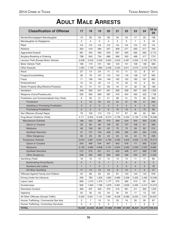### **ADULT MALE ARRESTS**

| <b>Classification of Offense</b>             | 17             | 18             | 19             | 20                  | 21             | 22             | 23             | 24             | $25$ to<br>29 |
|----------------------------------------------|----------------|----------------|----------------|---------------------|----------------|----------------|----------------|----------------|---------------|
| Murder/Nonnegligent Manslaughter             | 15             | 30             | 33             | 36                  | 34             | 34             | 17             | 25             | 126           |
| Manslaughter by Negligence                   | $\overline{c}$ | 4              | 5              | 4                   | 2              | 5              | 1              | 3              | 16            |
| Rape                                         | n/a            | n/a            | n/a            | n/a                 | n/a            | n/a            | n/a            | n/a            | n/a           |
| Robbery                                      | 355            | 419            | 384            | 357                 | 308            | 271            | 293            | 217            | 764           |
| <b>Aggravated Assault</b>                    | 381            | 424            | 490            | 535                 | 597            | 595            | 592            | 583            | 2,712         |
| <b>Burglary-Breaking or Entering</b>         | 798            | 943            | 734            | 686                 | 596            | 520            | 499            | 417            | 1751          |
| Larceny-Theft (Except Motor Vehicle)         | 3,038          | 3,542          | 3,239          | 2,832               | 2,643          | 2,487          | 2,302          | 2,105          | 8,753         |
| Motor Vehicle Theft                          | 185            | 173            | 161            | 162                 | 123            | 151            | 128            | 138            | 586           |
| <b>Other Assaults</b>                        | 1.563          | 1,735          | 1,863          | 2,048               | 2,534          | 2,611          | 2,575          | 2,579          | 12,284        |
| Arson                                        | 27             | 14             | 24             | 11                  | 10             | 11             | 12             | 8              | 47            |
| Forgery/Counterfeiting                       | 36             | 79             | 107            | 115                 | 124            | 119            | 128            | 137            | 595           |
| Fraud                                        | 71             | 106            | 146            | 146                 | 162            | 152            | 182            | 181            | 863           |
| Embezzlement                                 | 10             | 16             | 20             | 14                  | 15             | 20             | 18             | 9              | 42            |
| Stolen Property (Buy, Receive, Possess)      | 61             | 41             | 47             | 30                  | 44             | 41             | 32             | 30             | 128           |
| Vandalism                                    | 456            | 362            | 347            | 291                 | 328            | 258            | 267            | 229            | 1,005         |
| Weapons (Carry/Possess,etc)                  | 235            | 393            | 369            | 397                 | 470            | 424            | 450            | 422            | 1,756         |
| Prostitution and Commercialized Vice (Total) | 8              | 20             | 31             | 51                  | 68             | 51             | 70             | 65             | 309           |
| Prostitution                                 | 5              | 16             | 29             | 43                  | 54             | 37             | 60             | 51             | 240           |
| Assisting or Promoting Prostitution          | 3              | $\overline{2}$ | $\overline{0}$ | $\overline{2}$      | $\overline{4}$ | $\overline{4}$ | $\overline{4}$ | $\overline{4}$ | 13            |
| <b>Purchasing Prostitution</b>               | $\overline{0}$ | $\overline{2}$ | $\overline{2}$ | 6                   | 10             | 10             | 6              | 10             | 56            |
| Sex Offenses (Except Rape)                   | 79             | 102            | 113            | 113                 | 117            | 87             | 99             | 63             | 366           |
| Drug Abuse Violations (Total)                | 4,111          | 6,304          | 6,446          | 6,274               | 5,759          | 5,453          | 5,129          | 4,704          | 18,596        |
| <b>Manufacture Subtotal</b>                  | 168            | 343            | 385            | 475                 | 469            | 524            | 503            | 509            | 2,381         |
| Opium or Cocaine                             | 33             | 60             | 86             | 103                 | 92             | 107            | 106            | 91             | 596           |
| Marijuana                                    | 49             | 100            | 99             | 92                  | 75             | 73             | 59             | 62             | 212           |
| <b>Synthetic Narcotics</b>                   | 47             | 157            | 164            | 236                 | 249            | 290            | 294            | 284            | 1,334         |
| <b>Other Dangerous</b>                       | 39             | 26             | 36             | 44                  | 53             | 54             | 44             | 72             | 239           |
| <b>Possession Subtotal</b>                   | 3,943          | 5,961          | 6,061          | 5,799               | 5,290          | 4,929          | 4,626          | 5,195          | 16,215        |
| Opium or Cocaine                             | 254            | 469            | 544            | 647                 | 643            | 678            | 711            | 695            | 3,222         |
| Marijuana                                    | 3,129          | 4,682          | 4,608          | 4,161               | 3,644          | 3,265          | 2,958          | 2,555          | 8,885         |
| <b>Synthetic Narcotics</b>                   | 212            | 315            | 421            | 411                 | 435            | 448            | 417            | 388            | 1,762         |
| <b>Other Dangerous</b>                       | 348            | 495            | 488            | 580                 | 568            | 538            | 540            | 557            | 2,346         |
| Gambling (Total)                             | 18             | 15             | 15             | 12                  | 13             | 15             | 11             | 11             | 66            |
| Bookmaking-Horse/Sports                      | $\mathbf 0$    | $\mathbf{1}$   | 0              | 1                   | $\mathbf{1}$   | $\mathbf 0$    | $\mathbf 0$    | 3              | 3             |
| Numbers and Lottery                          | $\mathbf{1}$   | $\mathbf{1}$   | 0              | $\mathbf{1}$        | 3              | $\mathbf 0$    | $\overline{4}$ | 3              | 16            |
| All Other Gambling                           | 17             | 13             | 15             | 10                  | 9              | 15             | $\overline{7}$ | 5              | 47            |
| Offenses Against Family and Children         | 42             | 66             | 65             | 93                  | 81             | 124            | 144            | 143            | 678           |
| Driving Under the Influence                  | 256            | 780            | 1,202          | 1,662               | 2,085          | 2,308          | 2,305          | 2,462          | 10,639        |
| Liquor Laws                                  | 699            | 1,515          | 1,474          | 1,177               | 375            | 265            | 210            | 161            | 684           |
| Drunkenness                                  | 839            | 1,394          | 1,766          | 1,876               | 2,691          | 2,636          | 2,595          | 2,415          | 10,273        |
| <b>Disorderly Conduct</b>                    | 483            | 407            | 400            | 370                 | 416            | 391            | 311            | 320            | 1,243         |
| Vagrancy                                     | 25             | 30             | 33             | 34                  | 34             | 20             | 17             | 13             | 122           |
| All Other Offenses (Except Traffic)          | 4,520          | 6,021          | 7,141          | 7,661               | 8,336          | 8,286          | 8,223          | 7,811          | 33,837        |
| Human Trafficking / Commercial Sex Acts      | 2              | 7              | 10             | 15                  | 33             | 19             | 20             | 20             | 87            |
| Human Trafficking / Involuntary Servitude    | 5              | 0              | 0              | $\mathsf{O}\xspace$ | 1              | 1              | 1              | 2              | 5             |
| <b>TOTAL</b>                                 | 18,320         | 24,942         | 26,665         | 27,002              | 27,999         | 27,355         | 26,631         | 25,275         | 108,333       |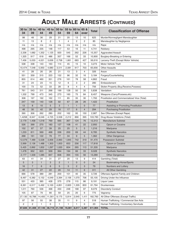### **ADULT MALE ARRESTS (CONTINUED)**

| <b>30 to</b><br>34 | 35 to<br>39    | 40 to<br>44    | 45 to<br>49 | <b>50 to</b><br>54 | 55 to<br>59  | 60 to<br>64    | 65 &<br>over   | <b>Total</b> | <b>Classification of Offense</b>             |
|--------------------|----------------|----------------|-------------|--------------------|--------------|----------------|----------------|--------------|----------------------------------------------|
| 98                 | 48             | 36             | 29          | 21                 | 20           | 13             | 10             | 625          | Murder/Nonnegligent Manslaughter             |
| 11                 | 13             | 8              | 2           | 1                  | 4            | 2              | 2              | 85           | Manslaughter by Negligence                   |
| n/a                | n/a            | n/a            | n/a         | n/a                | n/a          | n/a            | n/a            | n/a          | Rape                                         |
| 498                | 295            | 235            | 148         | 117                | 53           | 16             | 11             | 4,741        | Robbery                                      |
| 2,336              | 1,682          | 1,352          | 1,125       | 920                | 545          | 262            | 226            | 15,357       | <b>Aggravated Assault</b>                    |
| 1,325              | 917            | 618            | 486         | 357                | 166          | 52             | 33             | 10,900       | <b>Burglary-Breaking or Entering</b>         |
| 7,456              | 5,033          | 4,021          | 3,636       | 2,758              | 1,661        | 683            | 427            | 56,616       | Larceny-Theft (Except Motor Vehicle)         |
| 538                | 338            | 143            | 163         | 114                | 45           | 15             | 10             | 3,273        | Motor Vehicle Theft                          |
| 10,474             | 7,548          | 5,950          | 4,680       | 3,511              | 2,081        | 917            | 703            | 65,656       | <b>Other Assaults</b>                        |
| 41                 | 28             | 26             | 26          | 21                 | 13           | 3              | 4              | 326          | Arson                                        |
| 551                | 359            | 315            | 223         | 152                | 96           | 32             | 16             | 3,184        | Forgery/Counterfeiting                       |
| 855                | 614            | 460            | 351         | 276                | 161          | 78             | 58             | 4,862        | Fraud                                        |
| 31                 | 24             | 23             | 15          | 12                 | 6            | 3              | 2              | 280          | Embezzlement                                 |
| 100                | 73             | 52             | 33          | 28                 | 8            | $\overline{4}$ | 4              | 756          | Stolen Property (Buy, Receive, Possess)      |
| 761                | 543            | 311            | 268         | 199                | 128          | 50             | 35             | 5,838        | Vandalism                                    |
| 1,332              | 799            | 473            | 345         | 273                | 160          | 75             | 84             | 8,457        | Weapons (Carry/Possess,etc)                  |
| 308                | 197            | 192            | 162         | 111                | 85           | 35             | 30             | 1,793        | Prostitution and Commercialized Vice (Total) |
| 247                | 159            | 140            | 128         | 92                 | 67           | 28             | 26             | 1,422        | Prostitution                                 |
| 13                 | 8              | 10             | 5           | 3                  | 1            | $\mathbf{1}$   | $\mathbf{0}$   | 77           | Assisting or Promoting Prostitution          |
| 48                 | 30             | 42             | 29          | 16                 | 17           | 6              | $\overline{4}$ | 294          | <b>Purchasing Prostitution</b>               |
| 390                | 306            | 262            | 280         | 202                | 162          | 95             | 150            | 2,987        | Sex Offenses (Except Rape)                   |
| 1,4258             | 8,947          | 6,046          | 4,725       | 3,558              | 2,212        | 866            | 395            | 103,783      | Drug Abuse Violations (Total)                |
| 2,179              | 1,458          | 1,018          | 769         | 565                | 367          | 124            | 76             | 12,313       | <b>Manufacture Subtotal</b>                  |
| 526                | 399            | 270            | 183         | 127                | 108          | 41             | 22             | 2,950        | Opium or Cocaine                             |
| 152                | 87             | 57             | 39          | 25                 | 25           | 5              | 5              | 1,216        | Marijuana                                    |
| 1,233              | 811            | 569            | 468         | 336                | 200          | 69             | 44             | 6,785        | <b>Synthetic Narcotics</b>                   |
| 268                | 161            | 122            | 79          | 77                 | 34           | 9              | 5              | 1,362        | <b>Other Dangerous</b>                       |
| 12,079             | 7,489          | 5,028          | 3,956       | 2,993              | 1,845        | 742            | 319            | 91,470       | <b>Possession Subtotal</b>                   |
| 2,999              | 2,136          | 1,488          | 1,303       | 1,003              | 653          | 256            | 117            | 17,818       | Opium or Cocaine                             |
| 5,425              | 2,892          | 1,832          | 1,297       | 1,020              | 604          | 265            | 113            | 51,335       | Marijuana                                    |
| 1,478              | 952            | 623            | 509         | 364                | 194          | 66             | 33             | 9,028        | <b>Synthetic Narcotics</b>                   |
| 2,177              | 1,509          | 1,085          | 847         | 606                | 394          | 155            | 56             | 13,289       | <b>Other Dangerous</b>                       |
| 63                 | 41             | 34             | 31          | 27                 | 20           | 13             | 9              | 414          | Gambling (Total)                             |
| 5                  | 3              | $\mathbf{1}$   | 3           | $\overline{2}$     | $\mathbf{1}$ | $\mathbf 0$    | $\mathbf 0$    | 24           | Bookmaking-Horse/Sports                      |
| 16                 | $\overline{7}$ | $6\phantom{1}$ | 6           | 5                  | 5            | $\overline{c}$ | 3              | 79           | Numbers and Lottery                          |
| 42                 | 31             | 27             | 22          | 20                 | 14           | 11             | 6              | 311          | All Other Gambling                           |
| 666                | 578            | 389            | 281         | 200                | 101          | 40             | 35             | 3,726        | Offenses Against Family and Children         |
| 8,497              | 6,382          | 5,152          | 4,049       | 3,394              | 2,156        | 1,070          | 706            | 55,105       | Driving Under the Influence                  |
| 531                | 433            | 385            | 428         | 375                | 278          | 115            | 86             | 9,191        | Liquor Laws                                  |
| 8,361              | 6,517          | 5,492          | 5,100       | 4,851              | 2,820        | 1,335          | 833            | 61,794       | Drunkenness                                  |
| 1,011              | 760            | 536            | 468         | 450                | 248          | 168            | 97             | 8,079        | <b>Disorderly Conduct</b>                    |
| 105                | 87             | 79             | 66          | 59                 | 25           | 20             | 6              | 775          | Vagrancy                                     |
| 27,130             | 18,788         | 14,400         | 11,561      | 9,175              | 5,814        | 2,645          | 1,411          | 182,760      | All Other Offenses (Except Traffic)          |
| 97                 | 56             | 55             | 38          | 35                 | 11           | 9              | 4              | 518          | Human Trafficking / Commercial Sex Acts      |
| $\overline{c}$     | 2              | 1              | 0           | 1                  | 1            | $\mathbf{1}$   | 0              | 23           | Human Trafficking / Involuntary Servitude    |
| 87,826             | 61,408         | 47,146         | 38,719      | 31,198             | 19,081       | 8,617          | 5,387          | 611,904      | <b>TOTAL</b>                                 |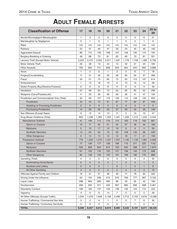#### **ADULT FEMALE ARRESTS**

| <b>Classification of Offense</b>             | 17             | 18             | 19             | 20             | 21             | 22             | 23             | 24             | $25$ to<br>29           |
|----------------------------------------------|----------------|----------------|----------------|----------------|----------------|----------------|----------------|----------------|-------------------------|
| Murder/Nonnegligent Manslaughter             | 1              | 3              | 2              | 3              | 3              | 5              | 3              | 6              | 21                      |
| Manslaughter by Negligence                   | 0              | 1              | $\mathbf 0$    | 1              | 1              | 0              | $\mathbf 0$    | 1              | 6                       |
| Rape                                         | n/a            | n/a            | n/a            | n/a            | n/a            | n/a            | n/a            | n/a            | n/a                     |
| Robbery                                      | 24             | 57             | 46             | 47             | 59             | 54             | 40             | 46             | 192                     |
| <b>Aggravated Assault</b>                    | 89             | 112            | 129            | 168            | 167            | 158            | 195            | 174            | 794                     |
| <b>Burglary-Breaking or Entering</b>         | 49             | 88             | 73             | 81             | 83             | 63             | 70             | 81             | 321                     |
| Larceny-Theft (Except Motor Vehicle)         | 2,023          | 2,475          | 2,352          | 2,071          | 1,937          | 1,778          | 1,708          | 1,499          | 6,756                   |
| Motor Vehicle Theft                          | 26             | 38             | 19             | 34             | 13             | 42             | 31             | 25             | 165                     |
| <b>Other Assaults</b>                        | 765            | 660            | 741            | 858            | 934            | 964            | 945            | 850            | 3,886                   |
| Arson                                        | $\mathbf{1}$   | $\overline{c}$ | $\mathbf 0$    | 1              | $\overline{c}$ | 5              | 6              | $\overline{7}$ | 18                      |
| Forgery/Counterfeiting                       | 11             | 31             | 42             | 50             | 58             | 84             | 55             | 57             | 366                     |
| Fraud                                        | 34             | 51             | 75             | 82             | 72             | 92             | 113            | 107            | 614                     |
| Embezzlement                                 | 1              | 13             | 18             | 19             | 9              | 10             | 15             | 13             | 38                      |
| Stolen Property (Buy, Receive, Possess)      | 6              | 6              | 6              | 8              | 11             | 6              | 9              | 9              | 39                      |
| Vandalism                                    | 67             | 69             | 60             | 73             | 62             | 82             | 85             | 63             | 296                     |
| Weapons (Carry/Possess,etc)                  | 11             | 25             | 36             | 26             | 36             | 36             | 41             | 47             | 154                     |
| Prostitution and Commercialized Vice (Total) | 50             | 69             | 107            | 119            | 126            | 110            | 128            | 120            | 603                     |
| Prostitution                                 | 34             | 43             | 73             | 81             | 87             | 77             | 84             | 87             | 449                     |
| Assisting or Promoting Prostitution          | $\overline{c}$ | $\mathbf 0$    | 5              | 5              | $\overline{2}$ | 3              | $\overline{2}$ | $\overline{4}$ | 5                       |
| <b>Purchasing Prostitution</b>               | 14             | 26             | 29             | 33             | 37             | 30             | 42             | 29             | 149                     |
| Sex Offenses (Except Rape)                   | 6              | 13             | 14             | 13             | 11             | 5              | 10             | 15             | 47                      |
| Drug Abuse Violations (Total)                | 820            | 1,338          | 1,383          | 1,353          | 1,341          | 1,309          | 1,315          | 1,243          | 5,433                   |
| <b>Manufacture Subtotal</b>                  | 41             | 106            | 113            | 116            | 114            | 163            | 179            | 162            | 867                     |
| Opium or Cocaine                             | 16             | 17             | 20             | 21             | 24             | 27             | 36             | 34             | 169                     |
| Marijuana                                    | 5              | 12             | 17             | 12             | 19             | 9              | 6              | 11             | 59                      |
| <b>Synthetic Narcotics</b>                   | 14             | 63             | 63             | 70             | 59             | 109            | 120            | 96             | 530                     |
| <b>Other Dangerous</b>                       | 6              | 14             | 13             | 13             | 12             | 18             | 17             | 21             | 109                     |
| <b>Possession Subtotal</b>                   | 779            | 1,232          | 1,270          | 1,237          | 1,227          | 1,146          | 1,136          | 1,081          | 4,566                   |
| Opium or Cocaine                             | 77             | 136            | 177            | 158            | 186            | 175            | 211            | 222            | 1142                    |
| Marijuana                                    | 556            | 858            | 844            | 812            | 729            | 645            | 598            | 517            | 1,870                   |
| <b>Synthetic Narcotics</b>                   | 61             | 102            | 116            | 122            | 151            | 158            | 145            | 172            | 668                     |
| <b>Other Dangerous</b>                       | 85             | 136            | 133            | 145            | 161            | 168            | 182            | 170            | 886                     |
| Gambling (Total)                             | 4              | 2              | 5              | 8              | 3              | 5              | 6              | 4              | 30                      |
| Bookmaking-Horse/Sports                      | $\overline{0}$ | $\mathbf 0$    | $\overline{0}$ | $\overline{c}$ | $\mathbf{1}$   | 0              | $\overline{c}$ | $\mathbf{1}$   | $\overline{2}$          |
| Numbers and Lottery                          | 0              | 0              | $\mathbf 0$    | $\mathbf{1}$   | $\mathbf 0$    | $\mathbf{1}$   | $\mathbf 0$    | 1              | 9                       |
| All Other Gambling                           | $\overline{4}$ | $\overline{2}$ | 5              | 5              | $\overline{c}$ | $\overline{4}$ | $\overline{4}$ | $\sqrt{2}$     | 19                      |
| Offenses Against Family and Children         | 16             | 31             | 37             | 48             | 49             | 71             | 78             | 85             | 322                     |
| Driving Under the Influence                  | 64             | 194            | 338            | 412            | 616            | 756            | 777            | 667            | 3,103                   |
| Liquor Laws                                  | 298            | 663            | 563            | 390            | 96             | 53             | 55             | 42             | 185                     |
| Drunkenness                                  | 209            | 332            | 371            | 443            | 657            | 665            | 636            | 608            | 2,461                   |
| <b>Disorderly Conduct</b>                    | 168            | 165            | 137            | 129            | 138            | 146            | 124            | 115            | 425                     |
| Vagrancy                                     | 4              | 9              | 6              | 14             | $\overline{7}$ | 5              | 5              | 5              | 39                      |
| All Other Offenses (Except Traffic)          | 1,254          | 1,578          | 1,948          | 2,158          | 2,496          | 2,712          | 2,733          | 2,676          | 12,089                  |
| Human Trafficking / Commercial Sex Acts      | 3              | $\mathbf{2}$   | 4              | 1              | 5              | 5              | 7              | 6              | 30                      |
| Human Trafficking / Involuntary Servitude    | 4              | 0              | 0              | 0              | $\mathsf 0$    | 1              | 1              | 0              | $\overline{\mathbf{c}}$ |
| <b>TOTAL</b>                                 | 6,008          | 8,027          | 8,512          | 8,610          | 8,992          | 9,222          | 9,191          | 8,571          | 38,435                  |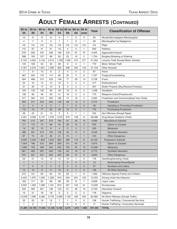#### **ADULT FEMALE ARRESTS (CONTINUED)**

| <b>30 to</b><br>34 | 35 to<br>39    | <b>40 to</b><br>44 | 45 to<br>49    | $50$ to<br>54  | 59           | 55 to $ 60$ to $ $<br>64 | 65 &<br>over        | <b>Total</b> | <b>Classification of Offense</b>             |
|--------------------|----------------|--------------------|----------------|----------------|--------------|--------------------------|---------------------|--------------|----------------------------------------------|
| 10                 | 9              | 8                  | 8              | $\overline{4}$ | 1            | 2                        | 3                   | 92           | Murder/Nonnegligent Manslaughter             |
| 4                  | $\overline{7}$ | 3                  | 2              | 1              | 1            | 0                        | 1                   | 29           | Manslaughter by Negligence                   |
| n/a                | n/a            | n/a                | n/a            | n/a            | n/a          | n/a                      | n/a                 | n/a          | Rape                                         |
| 112                | 67             | 41                 | 31             | 19             | 4            | 2                        | 1                   | 842          | Robbery                                      |
| 678                | 520            | 437                | 339            | 196            | 123          | 67                       | 57                  | 4,403        | <b>Aggravated Assault</b>                    |
| 288                | 193            | 127                | 89             | 63             | 23           | 10                       | $\mathbf{2}$        | 1,704        | <b>Burglary-Breaking or Entering</b>         |
| 5,723              | 4,020          | 3,134              | 2,313          | 1,783          | 1,030        | 473                      | 277                 | 41,352       | Larceny-Theft (Except Motor Vehicle)         |
| 143                | 109            | 53                 | 33             | 28             | 9            | 3                        | 1                   | 772          | Motor Vehicle Theft                          |
| 3,187              | 2,316          | 1,831              | 1,399          | 962            | 508          | 205                      | 142                 | 21,153       | <b>Other Assaults</b>                        |
| 7                  | 9              | 12                 | 9              | 2              | 4            | 0                        | 2                   | 87           | Arson                                        |
| 367                | 254            | 170                | 114            | 66             | 25           | 11                       | 6                   | 1,767        | Forgery/Counterfeiting                       |
| 604                | 468            | 315                | 233            | 148            | 77           | 29                       | 14                  | 3,128        | Fraud                                        |
| 22                 | 16             | 15                 | 12             | 10             | 2            | 2                        | 2                   | 217          | Embezzlement                                 |
| 31                 | 30             | 17                 | 15             | 8              | 3            | $\overline{c}$           | 1                   | 207          | Stolen Property (Buy, Receive, Possess)      |
| 194                | 133            | 120                | 56             | 49             | 16           | 8                        | 5                   | 1,438        | Vandalism                                    |
| 136                | 69             | 48                 | 39             | 41             | 18           | 5                        | 5                   | 773          | Weapons (Carry/Possess,etc)                  |
| 577                | 394            | 315                | 293            | 186            | 74           | 18                       | 3                   | 3,292        | Prostitution and Commercialized Vice (Total) |
| 462                | 311            | 234                | 240            | 139            | 58           | 13                       | $\overline{2}$      | 2,474        | Prostitution                                 |
| 5                  | $\overline{4}$ | $\overline{4}$     | 3              | $\mathbf{1}$   | $\mathbf{1}$ | $\mathbf 0$              | 0                   | 46           | Assisting or Promoting Prostitution          |
| 110                | 79             | 77                 | 50             | 46             | 15           | 5                        | $\mathbf{1}$        | 772          | <b>Purchasing Prostitution</b>               |
| 28                 | 25             | 21                 | 14             | 5              | 5            | 1                        | 1                   | 234          | Sex Offenses (Except Rape)                   |
| 4,461              | 3,038          | 2,147              | 1,578          | 1,070          | 470          | 148                      | 41                  | 28,488       | Drug Abuse Violations (Total)                |
| 765                | 512            | 347                | 275            | 185            | 81           | 30                       | 10                  | 4,066        | <b>Manufacture Subtotal</b>                  |
| 171                | 115            | 74                 | 66             | 45             | 26           | 12                       | 3                   | 876          | Opium or Cocaine                             |
| 19                 | 22             | 15                 | 8              | $\overline{4}$ | 3            | 3                        | $\mathbf{1}$        | 225          | Marijuana                                    |
| 488                | 301            | 215                | 155            | 105            | 42           | 14                       | 5                   | 2,449        | <b>Synthetic Narcotics</b>                   |
| 87                 | 74             | 43                 | 46             | 31             | 10           | $\mathbf{1}$             | 1                   | 516          | <b>Other Dangerous</b>                       |
| 3,696              | 2,526          | 1,800              | 1,303          | 885            | 389          | 118                      | 31                  | 24,422       | <b>Possession Subtotal</b>                   |
| 1,054              | 766            | 510                | 394            | 283            | 131          | 45                       | 8                   | 5,675        | Opium or Cocaine                             |
| 1,088              | 704            | 448                | 334            | 245            | 105          | 30                       | 12                  | 10,395       | Marijuana                                    |
| 681                | 465            | 391                | 242            | 152            | 64           | 16                       | 6                   | 3,712        | <b>Synthetic Narcotics</b>                   |
| 873                | 591            | 451                | 333            | 205            | 89           | 27                       | 5                   | 4,640        | <b>Other Dangerous</b>                       |
| 20                 | 21             | 13                 | 16             | 13             | 13           | 7                        | 6                   | 176          | GamblingGambling (Total)                     |
| $\mathbf{1}$       | $\mathbf{1}$   | $\mathbf{1}$       | $\mathbf{1}$   | $\mathbf{1}$   | 0            | $\overline{0}$           | 0                   | 13           | Bookmaking-Horse/Sports                      |
| $\overline{7}$     | 5              | 3                  | $\overline{4}$ | $\overline{c}$ | 4            | $\pmb{0}$                | $\mathbf 0$         | 37           | Numbers and Lottery                          |
| 12                 | 15             | $\boldsymbol{9}$   | 11             | 10             | 9            | $\overline{7}$           | 6                   | 126          | All Other Gambling                           |
| 272                | 151            | 93                 | 64             | 43             | 26           | 7                        | 6                   | 1,399        | Offenses Against Family and Children         |
| 2,423              | 1,675          | 1,335              | 1,228          | 919            | 540          | 201                      | 102                 | 15,350       | Driving Under the Influence                  |
| 163                | 117            | 92                 | 98             | 68             | 30           | 8                        | $\overline{7}$      | 2,928        | Liquor Laws                                  |
| 2,022              | 1,463          | 1,399              | 1,181          | 872            | 427          | 133                      | 61                  | 13,940       | Drunkenness                                  |
| 342                | 290            | 201                | 136            | 124            | 57           | 36                       | 16                  | 2,749        | <b>Disorderly Conduct</b>                    |
| 16                 | 21             | 18                 | 18             | 6              | 5            | 0                        | $\mathsf{O}\xspace$ | 178          | Vagrancy                                     |
| 10,030             | 7,299          | 5,280              | 3,778          | 2,489          | 1,183        | 436                      | 244                 | 60,383       | All Other Offenses (Except Traffic)          |
| 32                 | 22             | 19                 | 12             | $\overline{7}$ | 1            | $\overline{\mathbf{c}}$  | $\mathsf{O}\xspace$ | 158          | Human Trafficking / Commercial Sex Acts      |
| $\mathbf{1}$       | 0              | $\mathbf{1}$       | 0              | $\mathbf{1}$   | 0            | 0                        | 0                   | 11           | Human Trafficking / Involuntary Servitude    |
| 31,893             | 22,736         | 17,265             | 13,108         | 9,183          | 4,675        | 1,816                    | 1,006               | 207,250      | <b>TOTAL</b>                                 |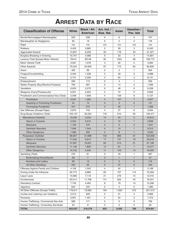#### **ARREST DATA BY RACE**

| <b>Classification of Offense</b>             | <b>White</b> | Black / Afr.<br><b>American</b> | Am. Ind. /<br>Alas. Nat. | <b>Asian</b> | Hawaiian /<br>Pac. Isle | <b>Total</b> |
|----------------------------------------------|--------------|---------------------------------|--------------------------|--------------|-------------------------|--------------|
| Murder/Nonnegligent Manslaughter             | 503          | 238                             | 0                        | 6            | 0                       | 747          |
| Manslaughter by Negligence                   | 95           | 19                              | 0                        | 2            | 2                       | 118          |
| Rape                                         | n/a          | n/a                             | n/a                      | n/a          | n/a                     | n/a          |
| Robbery                                      | 3,422        | 2,883                           | 5                        | 29           | 3                       | 6,342        |
| Aggravated Assault                           | 14,837       | 6,258                           | 30                       | 178          | 24                      | 21,327       |
| <b>Burglary-Breaking or Entering</b>         | 10,747       | 4,088                           | 9                        | 53           | $\overline{4}$          | 14,901       |
| Larceny-Theft (Except Motor Vehicle)         | 79410        | 28148                           | 95                       | 1053         | 69                      | 108,775      |
| Motor Vehicle Theft                          | 3,581        | 1,078                           | 3                        | 20           | 2                       | 4,684        |
| <b>Other Assaults</b>                        | 70,324       | 24,609                          | 97                       | 715          | 84                      | 95,829       |
| Arson                                        | 462          | 99                              | $\mathsf{O}\xspace$      | 2            | $\mathbf{1}$            | 564          |
| Forgery/Counterfeiting                       | 3,404        | 1,538                           | 5                        | 39           | 2                       | 4,988        |
| Fraud                                        | 5,741        | 2,328                           | $\overline{4}$           | 64           | 4                       | 8,141        |
| Embezzlement                                 | 330          | 174                             | 0                        | 4            | 1                       | 509          |
| Stolen Property (Buy, Receive, Possess)      | 795          | 287                             | 0                        | 14           | 0                       | 1,096        |
| Vandalism                                    | 6,925        | 2,270                           | 9                        | 48           | 6                       | 9,258        |
| Weapons (Carry/Possess,etc)                  | 6,551        | 3,023                           | $\overline{c}$           | 72           | 11                      | 9,659        |
| Prostitution and Commercialized Vice (Total) | 3,048        | 1,908                           | $\overline{4}$           | 159          | 8                       | 5,127        |
| Prostitution                                 | 2,547        | 1,262                           | $\overline{4}$           | 107          | $\overline{7}$          | 3,927        |
| Assisting or Promoting Prostitution          | 54           | 74                              | $\mathbf 0$              | 3            | $\mathbf 0$             | 131          |
| <b>Purchasing Prostitution</b>               | 447          | 572                             | $\mathbf 0$              | 49           | $\mathbf{1}$            | 1,069        |
| Sex Offenses (Except Rape)                   | 2,875        | 742                             | 4                        | 27           | 6                       | 3,654        |
| Drug Abuse Violations (Total)                | 103,127      | 35,222                          | 118                      | 910          | 94                      | 139,471      |
| <b>Manufacture Subtotal</b>                  | 13,220       | 3,534                           | 14                       | 44           | 3                       | 16,815       |
| Opium or Cocaine                             | 2,524        | 2,315                           | $\overline{4}$           | 15           | $\mathbf{1}$            | 3,859        |
| Marijuana                                    | 1,162        | 470                             | 3                        | 6            | $\mathbf 0$             | 1,641        |
| <b>Synthetic Narcotics</b>                   | 7,949        | 1,344                           | $\overline{4}$           | 15           | $\mathbf{1}$            | 9,313        |
| <b>Other Dangerous</b>                       | 1,585        | 405                             | 3                        | 8            | $\mathbf{1}$            | 2,002        |
| <b>Possession Subtotal</b>                   | 89,907       | 31,688                          | 104                      | 866          | 91                      | 122,656      |
| Opium or Cocaine                             | 17,042       | 6,613                           | 17                       | 127          | 19                      | 23,818       |
| Marijuana                                    | 47,567       | 19,001                          | 62                       | 515          | 51                      | 67,196       |
| <b>Synthetic Narcotics</b>                   | 11,146       | 1,829                           | 14                       | 81           | $\overline{7}$          | 13,077       |
| <b>Other Dangerous</b>                       | 14,152       | 4,245                           | 11                       | 143          | 14                      | 18,565       |
| Gambling (Total)                             | 472          | 81                              | 0                        | 43           | 1                       | 597          |
| Bookmaking-Horse/Sports                      | 28           | $\overline{7}$                  | $\mathbf 0$              | 1            | 1                       | 37           |
| Numbers and Lottery                          | 99           | 12                              | $\mathbf 0$              | 5            | 0                       | 116          |
| All Other Gambling                           | 345          | 62                              | $\mathbf 0$              | 37           | $\mathsf{O}\xspace$     | 444          |
| Offenses Against Family and Children         | 4,109        | 1,042                           | $\overline{4}$           | 42           | 1                       | 5,198        |
| Driving Under the Influence                  | 62,774       | 6,889                           | 65                       | 727          | 114                     | 70,569       |
| Liquor Laws                                  | 10,980       | 17,18                           | 21                       | 276          | 15                      | 13,010       |
| Drunkenness                                  | 63,514       | 11,708                          | 141                      | 623          | 45                      | 76,031       |
| <b>Disorderly Conduct</b>                    | 7,742        | 4,465                           | 8                        | 79           | 14                      | 12,308       |
| Vagrancy                                     | 842          | 234                             | 0                        | 4            | 0                       | 1,080        |
| All Other Offenses (Except Traffic)          | 176,611      | 73,085                          | 194                      | 1,350        | 272                     | 251,512      |
| Curfew and Loitering Law Violations          | 2,212        | 629                             | 0                        | 21           | 4                       | 2,866        |
| Runaway                                      | 5,951        | 1,491                           | 5                        | 22           | 3                       | 7,472        |
| Human Trafficking / Commercial Sex Acts      | 589          | 117                             | 0                        | 0            | 0                       | 706          |
| Human Trafficking / Involuntary Servitude    | 54           | 8                               | 0                        | 0            | 0                       | 62           |
| <b>TOTAL</b>                                 | 652,027      | 216,379                         | 823                      | 6,582        | 790                     | 876,601      |